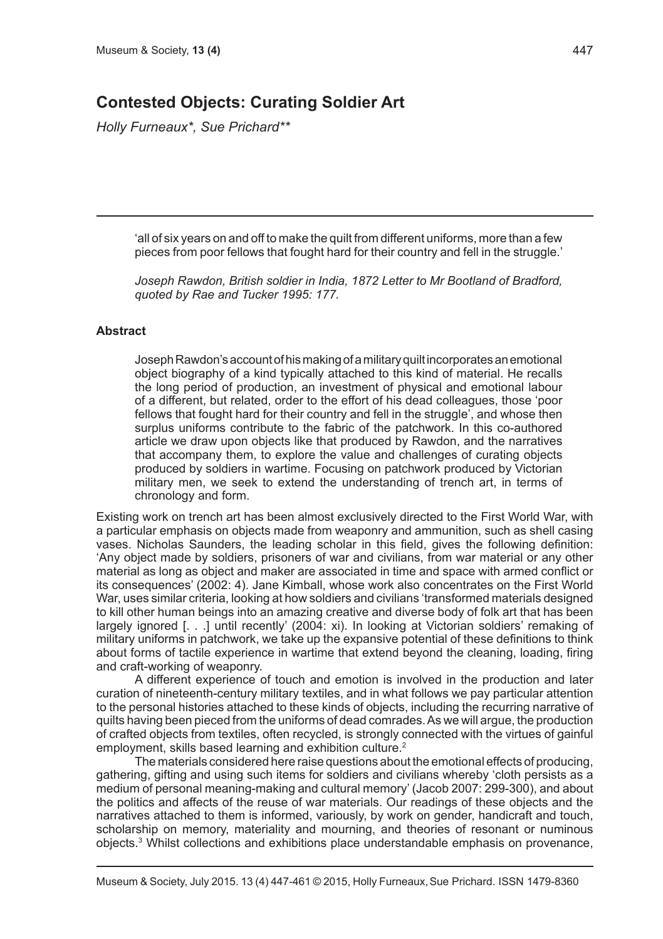# **Contested Objects: Curating Soldier Art**

*Holly Furneaux\*, Sue Prichard\*\**

'all of six years on and off to make the quilt from different uniforms, more than a few pieces from poor fellows that fought hard for their country and fell in the struggle.'

*Joseph Rawdon, British soldier in India, 1872 Letter to Mr Bootland of Bradford, quoted by Rae and Tucker 1995: 177.*

## **Abstract**

Joseph Rawdon's account of his making of a military quilt incorporates an emotional object biography of a kind typically attached to this kind of material. He recalls the long period of production, an investment of physical and emotional labour of a different, but related, order to the effort of his dead colleagues, those 'poor fellows that fought hard for their country and fell in the struggle', and whose then surplus uniforms contribute to the fabric of the patchwork. In this co-authored article we draw upon objects like that produced by Rawdon, and the narratives that accompany them, to explore the value and challenges of curating objects produced by soldiers in wartime. Focusing on patchwork produced by Victorian military men, we seek to extend the understanding of trench art, in terms of chronology and form.

Existing work on trench art has been almost exclusively directed to the First World War, with a particular emphasis on objects made from weaponry and ammunition, such as shell casing vases. Nicholas Saunders, the leading scholar in this field, gives the following definition: 'Any object made by soldiers, prisoners of war and civilians, from war material or any other material as long as object and maker are associated in time and space with armed conflict or its consequences' (2002: 4). Jane Kimball, whose work also concentrates on the First World War, uses similar criteria, looking at how soldiers and civilians 'transformed materials designed to kill other human beings into an amazing creative and diverse body of folk art that has been largely ignored [. . .] until recently' (2004: xi). In looking at Victorian soldiers' remaking of military uniforms in patchwork, we take up the expansive potential of these definitions to think about forms of tactile experience in wartime that extend beyond the cleaning, loading, firing and craft-working of weaponry.

A different experience of touch and emotion is involved in the production and later curation of nineteenth-century military textiles, and in what follows we pay particular attention to the personal histories attached to these kinds of objects, including the recurring narrative of quilts having been pieced from the uniforms of dead comrades. As we will argue, the production of crafted objects from textiles, often recycled, is strongly connected with the virtues of gainful employment, skills based learning and exhibition culture.<sup>2</sup>

The materials considered here raise questions about the emotional effects of producing, gathering, gifting and using such items for soldiers and civilians whereby 'cloth persists as a medium of personal meaning-making and cultural memory' (Jacob 2007: 299-300), and about the politics and affects of the reuse of war materials. Our readings of these objects and the narratives attached to them is informed, variously, by work on gender, handicraft and touch, scholarship on memory, materiality and mourning, and theories of resonant or numinous objects.<sup>3</sup> Whilst collections and exhibitions place understandable emphasis on provenance,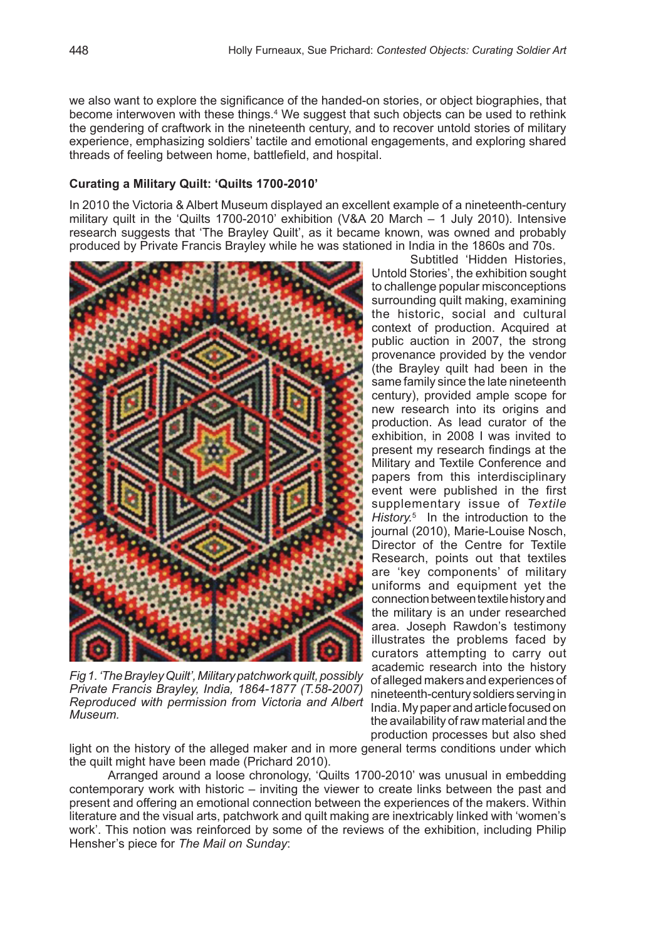we also want to explore the significance of the handed-on stories, or object biographies, that become interwoven with these things.4 We suggest that such objects can be used to rethink the gendering of craftwork in the nineteenth century, and to recover untold stories of military experience, emphasizing soldiers' tactile and emotional engagements, and exploring shared threads of feeling between home, battlefield, and hospital.

## **Curating a Military Quilt: 'Quilts 1700-2010'**

In 2010 the Victoria & Albert Museum displayed an excellent example of a nineteenth-century military quilt in the 'Quilts 1700-2010' exhibition (V&A 20 March – 1 July 2010). Intensive research suggests that 'The Brayley Quilt', as it became known, was owned and probably produced by Private Francis Brayley while he was stationed in India in the 1860s and 70s.



*Fig 1. 'The Brayley Quilt', Military patchwork quilt, possibly Private Francis Brayley, India, 1864-1877 (T.58-2007) Reproduced with permission from Victoria and Albert Museum.*

Subtitled 'Hidden Histories, Untold Stories', the exhibition sought to challenge popular misconceptions surrounding quilt making, examining the historic, social and cultural context of production. Acquired at public auction in 2007, the strong provenance provided by the vendor (the Brayley quilt had been in the same family since the late nineteenth century), provided ample scope for new research into its origins and production. As lead curator of the exhibition, in 2008 I was invited to present my research findings at the Military and Textile Conference and papers from this interdisciplinary event were published in the first supplementary issue of *Textile History.*<sup>5</sup> In the introduction to the journal (2010), Marie-Louise Nosch, Director of the Centre for Textile Research, points out that textiles are 'key components' of military uniforms and equipment yet the connection between textile history and the military is an under researched area. Joseph Rawdon's testimony illustrates the problems faced by curators attempting to carry out academic research into the history of alleged makers and experiences of nineteenth-century soldiers serving in India. My paper and article focused on the availability of raw material and the production processes but also shed

light on the history of the alleged maker and in more general terms conditions under which the quilt might have been made (Prichard 2010).

Arranged around a loose chronology, 'Quilts 1700-2010' was unusual in embedding contemporary work with historic – inviting the viewer to create links between the past and present and offering an emotional connection between the experiences of the makers. Within literature and the visual arts, patchwork and quilt making are inextricably linked with 'women's work'. This notion was reinforced by some of the reviews of the exhibition, including Philip Hensher's piece for *The Mail on Sunday*: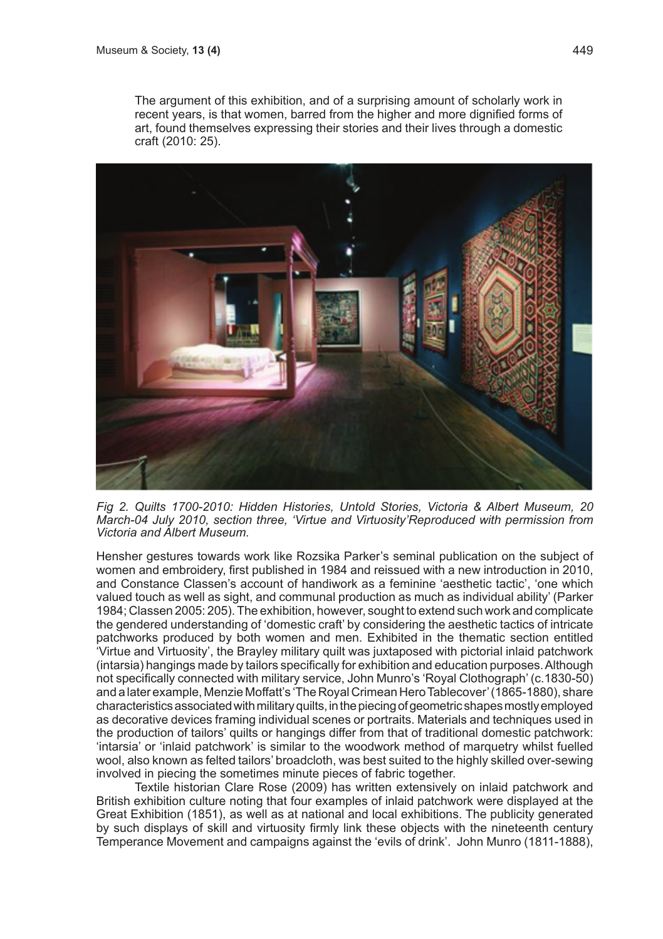The argument of this exhibition, and of a surprising amount of scholarly work in recent years, is that women, barred from the higher and more dignified forms of art, found themselves expressing their stories and their lives through a domestic craft (2010: 25).



*Fig 2. Quilts 1700-2010: Hidden Histories, Untold Stories, Victoria & Albert Museum, 20 March-04 July 2010, section three, 'Virtue and Virtuosity'Reproduced with permission from Victoria and Albert Museum.*

Hensher gestures towards work like Rozsika Parker's seminal publication on the subject of women and embroidery, first published in 1984 and reissued with a new introduction in 2010, and Constance Classen's account of handiwork as a feminine 'aesthetic tactic', 'one which valued touch as well as sight, and communal production as much as individual ability' (Parker 1984; Classen 2005: 205). The exhibition, however, sought to extend such work and complicate the gendered understanding of 'domestic craft' by considering the aesthetic tactics of intricate patchworks produced by both women and men. Exhibited in the thematic section entitled 'Virtue and Virtuosity', the Brayley military quilt was juxtaposed with pictorial inlaid patchwork (intarsia) hangings made by tailors specifically for exhibition and education purposes. Although not specifically connected with military service, John Munro's 'Royal Clothograph' (c.1830-50) and a later example, Menzie Moffatt's 'The Royal Crimean Hero Tablecover' (1865-1880), share characteristics associated with military quilts, in the piecing of geometric shapes mostly employed as decorative devices framing individual scenes or portraits. Materials and techniques used in the production of tailors' quilts or hangings differ from that of traditional domestic patchwork: 'intarsia' or 'inlaid patchwork' is similar to the woodwork method of marquetry whilst fuelled wool, also known as felted tailors' broadcloth, was best suited to the highly skilled over-sewing involved in piecing the sometimes minute pieces of fabric together.

Textile historian Clare Rose (2009) has written extensively on inlaid patchwork and British exhibition culture noting that four examples of inlaid patchwork were displayed at the Great Exhibition (1851), as well as at national and local exhibitions. The publicity generated by such displays of skill and virtuosity firmly link these objects with the nineteenth century Temperance Movement and campaigns against the 'evils of drink'. John Munro (1811-1888),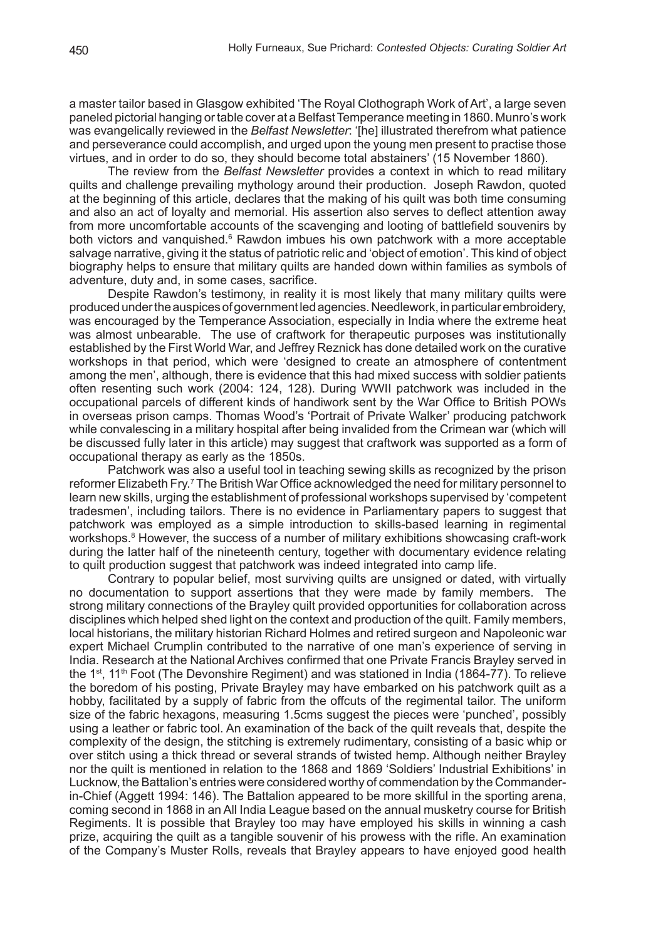a master tailor based in Glasgow exhibited 'The Royal Clothograph Work of Art', a large seven paneled pictorial hanging or table cover at a Belfast Temperance meeting in 1860. Munro's work was evangelically reviewed in the *Belfast Newsletter*: '[he] illustrated therefrom what patience and perseverance could accomplish, and urged upon the young men present to practise those virtues, and in order to do so, they should become total abstainers' (15 November 1860).

The review from the *Belfast Newsletter* provides a context in which to read military quilts and challenge prevailing mythology around their production. Joseph Rawdon, quoted at the beginning of this article, declares that the making of his quilt was both time consuming and also an act of loyalty and memorial. His assertion also serves to deflect attention away from more uncomfortable accounts of the scavenging and looting of battlefield souvenirs by both victors and vanquished.<sup>6</sup> Rawdon imbues his own patchwork with a more acceptable salvage narrative, giving it the status of patriotic relic and 'object of emotion'. This kind of object biography helps to ensure that military quilts are handed down within families as symbols of adventure, duty and, in some cases, sacrifice.

Despite Rawdon's testimony, in reality it is most likely that many military quilts were produced under the auspices of government led agencies. Needlework, in particular embroidery, was encouraged by the Temperance Association, especially in India where the extreme heat was almost unbearable. The use of craftwork for therapeutic purposes was institutionally established by the First World War, and Jeffrey Reznick has done detailed work on the curative workshops in that period, which were 'designed to create an atmosphere of contentment among the men', although, there is evidence that this had mixed success with soldier patients often resenting such work (2004: 124, 128). During WWII patchwork was included in the occupational parcels of different kinds of handiwork sent by the War Office to British POWs in overseas prison camps. Thomas Wood's 'Portrait of Private Walker' producing patchwork while convalescing in a military hospital after being invalided from the Crimean war (which will be discussed fully later in this article) may suggest that craftwork was supported as a form of occupational therapy as early as the 1850s.

Patchwork was also a useful tool in teaching sewing skills as recognized by the prison reformer Elizabeth Fry.<sup>7</sup> The British War Office acknowledged the need for military personnel to learn new skills, urging the establishment of professional workshops supervised by 'competent tradesmen', including tailors. There is no evidence in Parliamentary papers to suggest that patchwork was employed as a simple introduction to skills-based learning in regimental workshops.<sup>8</sup> However, the success of a number of military exhibitions showcasing craft-work during the latter half of the nineteenth century, together with documentary evidence relating to quilt production suggest that patchwork was indeed integrated into camp life.

Contrary to popular belief, most surviving quilts are unsigned or dated, with virtually no documentation to support assertions that they were made by family members. The strong military connections of the Brayley quilt provided opportunities for collaboration across disciplines which helped shed light on the context and production of the quilt. Family members, local historians, the military historian Richard Holmes and retired surgeon and Napoleonic war expert Michael Crumplin contributed to the narrative of one man's experience of serving in India. Research at the National Archives confirmed that one Private Francis Brayley served in the 1<sup>st</sup>, 11<sup>th</sup> Foot (The Devonshire Regiment) and was stationed in India (1864-77). To relieve the boredom of his posting, Private Brayley may have embarked on his patchwork quilt as a hobby, facilitated by a supply of fabric from the offcuts of the regimental tailor. The uniform size of the fabric hexagons, measuring 1.5cms suggest the pieces were 'punched', possibly using a leather or fabric tool. An examination of the back of the quilt reveals that, despite the complexity of the design, the stitching is extremely rudimentary, consisting of a basic whip or over stitch using a thick thread or several strands of twisted hemp. Although neither Brayley nor the quilt is mentioned in relation to the 1868 and 1869 'Soldiers' Industrial Exhibitions' in Lucknow, the Battalion's entries were considered worthy of commendation by the Commanderin-Chief (Aggett 1994: 146). The Battalion appeared to be more skillful in the sporting arena, coming second in 1868 in an All India League based on the annual musketry course for British Regiments. It is possible that Brayley too may have employed his skills in winning a cash prize, acquiring the quilt as a tangible souvenir of his prowess with the rifle. An examination of the Company's Muster Rolls, reveals that Brayley appears to have enjoyed good health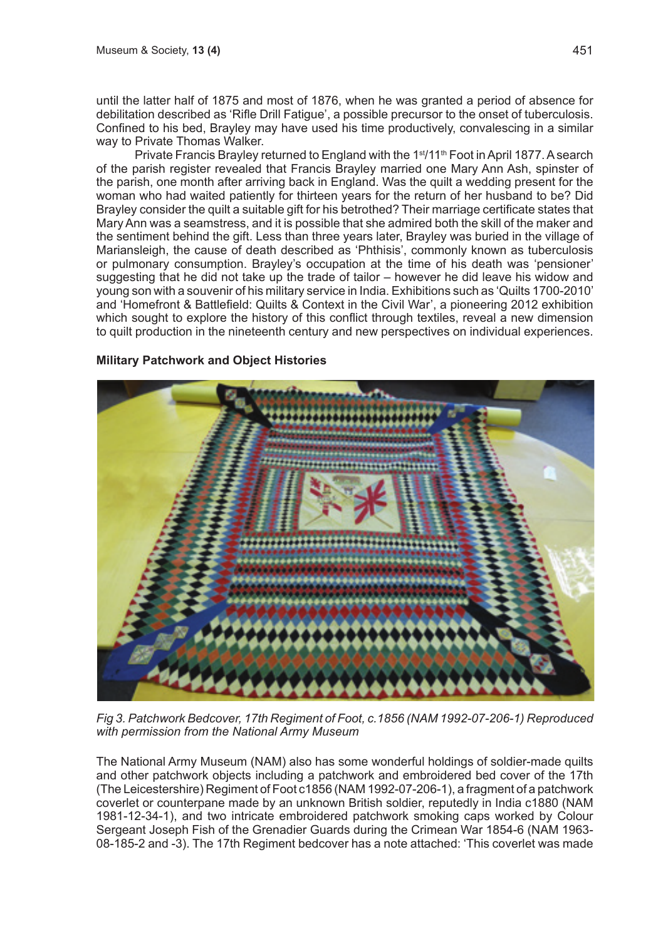until the latter half of 1875 and most of 1876, when he was granted a period of absence for debilitation described as 'Rifle Drill Fatigue', a possible precursor to the onset of tuberculosis. Confined to his bed, Brayley may have used his time productively, convalescing in a similar way to Private Thomas Walker.

Private Francis Brayley returned to England with the 1<sup>st</sup>/11<sup>th</sup> Foot in April 1877. A search of the parish register revealed that Francis Brayley married one Mary Ann Ash, spinster of the parish, one month after arriving back in England. Was the quilt a wedding present for the woman who had waited patiently for thirteen years for the return of her husband to be? Did Brayley consider the quilt a suitable gift for his betrothed? Their marriage certificate states that Mary Ann was a seamstress, and it is possible that she admired both the skill of the maker and the sentiment behind the gift. Less than three years later, Brayley was buried in the village of Mariansleigh, the cause of death described as 'Phthisis', commonly known as tuberculosis or pulmonary consumption. Brayley's occupation at the time of his death was 'pensioner' suggesting that he did not take up the trade of tailor – however he did leave his widow and young son with a souvenir of his military service in India. Exhibitions such as 'Quilts 1700-2010' and 'Homefront & Battlefield: Quilts & Context in the Civil War', a pioneering 2012 exhibition which sought to explore the history of this conflict through textiles, reveal a new dimension to quilt production in the nineteenth century and new perspectives on individual experiences.

# **Military Patchwork and Object Histories**



*Fig 3. Patchwork Bedcover, 17th Regiment of Foot, c.1856 (NAM 1992-07-206-1) Reproduced with permission from the National Army Museum*

The National Army Museum (NAM) also has some wonderful holdings of soldier-made quilts and other patchwork objects including a patchwork and embroidered bed cover of the 17th (The Leicestershire) Regiment of Foot c1856 (NAM 1992-07-206-1), a fragment of a patchwork coverlet or counterpane made by an unknown British soldier, reputedly in India c1880 (NAM 1981-12-34-1), and two intricate embroidered patchwork smoking caps worked by Colour Sergeant Joseph Fish of the Grenadier Guards during the Crimean War 1854-6 (NAM 1963- 08-185-2 and -3). The 17th Regiment bedcover has a note attached: 'This coverlet was made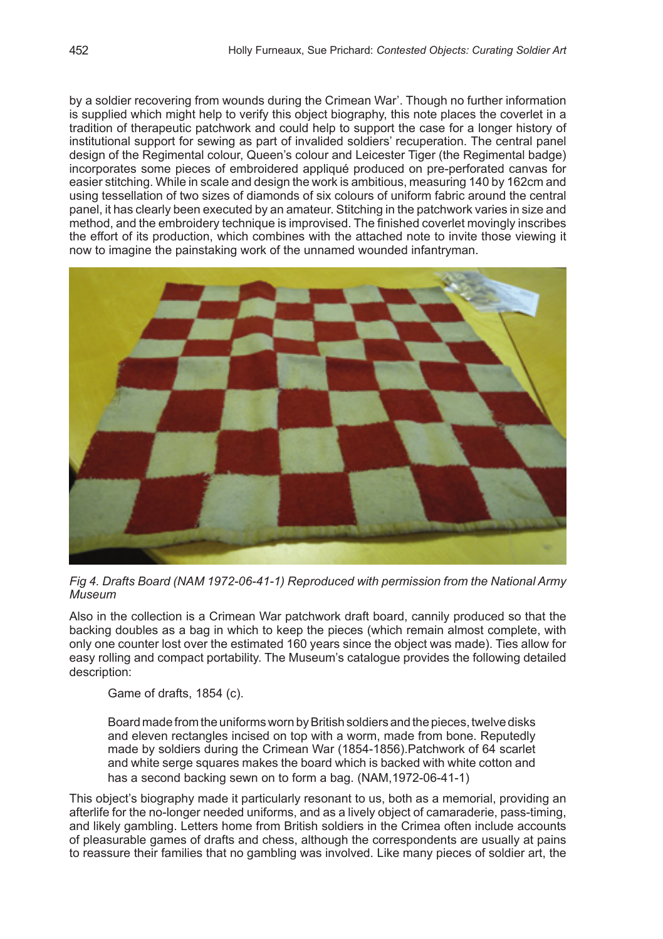by a soldier recovering from wounds during the Crimean War'. Though no further information is supplied which might help to verify this object biography, this note places the coverlet in a tradition of therapeutic patchwork and could help to support the case for a longer history of institutional support for sewing as part of invalided soldiers' recuperation. The central panel design of the Regimental colour, Queen's colour and Leicester Tiger (the Regimental badge) incorporates some pieces of embroidered appliqué produced on pre-perforated canvas for easier stitching. While in scale and design the work is ambitious, measuring 140 by 162cm and using tessellation of two sizes of diamonds of six colours of uniform fabric around the central panel, it has clearly been executed by an amateur. Stitching in the patchwork varies in size and method, and the embroidery technique is improvised. The finished coverlet movingly inscribes the effort of its production, which combines with the attached note to invite those viewing it now to imagine the painstaking work of the unnamed wounded infantryman.



*Fig 4. Drafts Board (NAM 1972-06-41-1) Reproduced with permission from the National Army Museum*

Also in the collection is a Crimean War patchwork draft board, cannily produced so that the backing doubles as a bag in which to keep the pieces (which remain almost complete, with only one counter lost over the estimated 160 years since the object was made). Ties allow for easy rolling and compact portability. The Museum's catalogue provides the following detailed description:

Game of drafts, 1854 (c).

Board made from the uniforms worn by British soldiers and the pieces, twelve disks and eleven rectangles incised on top with a worm, made from bone. Reputedly made by soldiers during the Crimean War (1854-1856).Patchwork of 64 scarlet and white serge squares makes the board which is backed with white cotton and has a second backing sewn on to form a bag. (NAM,1972-06-41-1)

This object's biography made it particularly resonant to us, both as a memorial, providing an afterlife for the no-longer needed uniforms, and as a lively object of camaraderie, pass-timing, and likely gambling. Letters home from British soldiers in the Crimea often include accounts of pleasurable games of drafts and chess, although the correspondents are usually at pains to reassure their families that no gambling was involved. Like many pieces of soldier art, the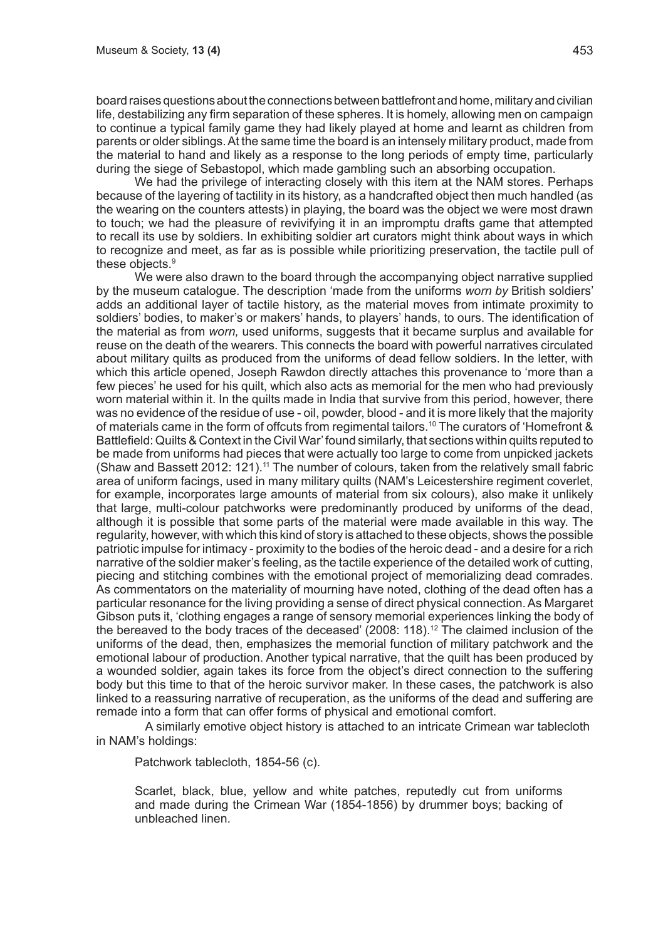board raises questions about the connections between battlefront and home, military and civilian life, destabilizing any firm separation of these spheres. It is homely, allowing men on campaign to continue a typical family game they had likely played at home and learnt as children from parents or older siblings. At the same time the board is an intensely military product, made from the material to hand and likely as a response to the long periods of empty time, particularly during the siege of Sebastopol, which made gambling such an absorbing occupation.

We had the privilege of interacting closely with this item at the NAM stores. Perhaps because of the layering of tactility in its history, as a handcrafted object then much handled (as the wearing on the counters attests) in playing, the board was the object we were most drawn to touch; we had the pleasure of revivifying it in an impromptu drafts game that attempted to recall its use by soldiers. In exhibiting soldier art curators might think about ways in which to recognize and meet, as far as is possible while prioritizing preservation, the tactile pull of these objects.<sup>9</sup>

We were also drawn to the board through the accompanying object narrative supplied by the museum catalogue. The description 'made from the uniforms *worn by* British soldiers' adds an additional layer of tactile history, as the material moves from intimate proximity to soldiers' bodies, to maker's or makers' hands, to players' hands, to ours. The identification of the material as from *worn,* used uniforms, suggests that it became surplus and available for reuse on the death of the wearers. This connects the board with powerful narratives circulated about military quilts as produced from the uniforms of dead fellow soldiers. In the letter, with which this article opened, Joseph Rawdon directly attaches this provenance to 'more than a few pieces' he used for his quilt, which also acts as memorial for the men who had previously worn material within it. In the quilts made in India that survive from this period, however, there was no evidence of the residue of use - oil, powder, blood - and it is more likely that the majority of materials came in the form of offcuts from regimental tailors.10 The curators of 'Homefront & Battlefield: Quilts & Context in the Civil War' found similarly, that sections within quilts reputed to be made from uniforms had pieces that were actually too large to come from unpicked jackets (Shaw and Bassett 2012: 121).11 The number of colours, taken from the relatively small fabric area of uniform facings, used in many military quilts (NAM's Leicestershire regiment coverlet, for example, incorporates large amounts of material from six colours), also make it unlikely that large, multi-colour patchworks were predominantly produced by uniforms of the dead, although it is possible that some parts of the material were made available in this way. The regularity, however, with which this kind of story is attached to these objects, shows the possible patriotic impulse for intimacy - proximity to the bodies of the heroic dead - and a desire for a rich narrative of the soldier maker's feeling, as the tactile experience of the detailed work of cutting, piecing and stitching combines with the emotional project of memorializing dead comrades. As commentators on the materiality of mourning have noted, clothing of the dead often has a particular resonance for the living providing a sense of direct physical connection. As Margaret Gibson puts it, 'clothing engages a range of sensory memorial experiences linking the body of the bereaved to the body traces of the deceased' (2008: 118).12 The claimed inclusion of the uniforms of the dead, then, emphasizes the memorial function of military patchwork and the emotional labour of production. Another typical narrative, that the quilt has been produced by a wounded soldier, again takes its force from the object's direct connection to the suffering body but this time to that of the heroic survivor maker. In these cases, the patchwork is also linked to a reassuring narrative of recuperation, as the uniforms of the dead and suffering are remade into a form that can offer forms of physical and emotional comfort.

A similarly emotive object history is attached to an intricate Crimean war tablecloth in NAM's holdings:

Patchwork tablecloth, 1854-56 (c).

Scarlet, black, blue, yellow and white patches, reputedly cut from uniforms and made during the Crimean War (1854-1856) by drummer boys; backing of unbleached linen.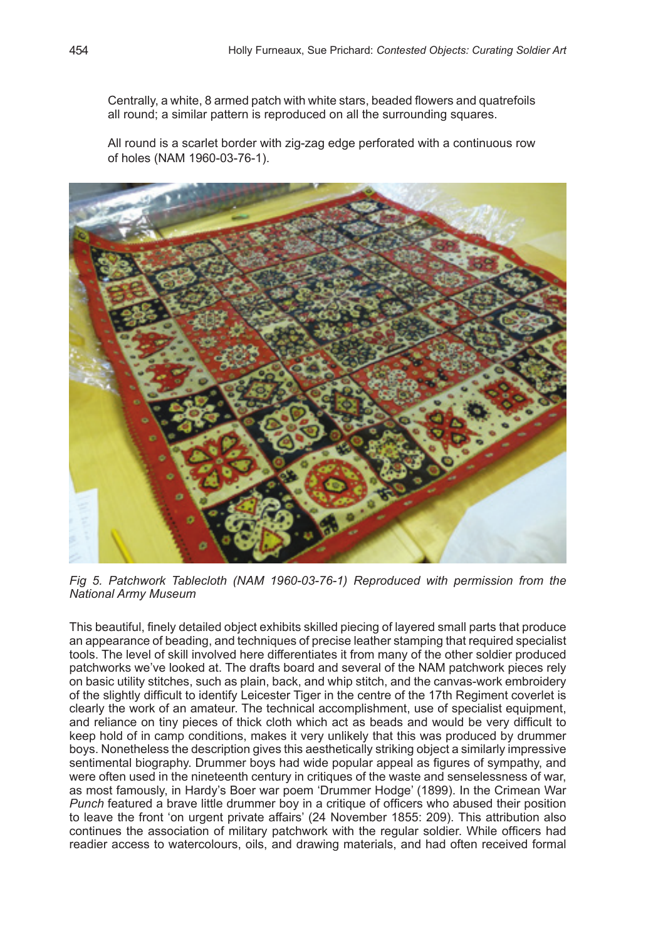Centrally, a white, 8 armed patch with white stars, beaded flowers and quatrefoils all round; a similar pattern is reproduced on all the surrounding squares.

All round is a scarlet border with zig-zag edge perforated with a continuous row of holes (NAM 1960-03-76-1).



*Fig 5. Patchwork Tablecloth (NAM 1960-03-76-1) Reproduced with permission from the National Army Museum*

This beautiful, finely detailed object exhibits skilled piecing of layered small parts that produce an appearance of beading, and techniques of precise leather stamping that required specialist tools. The level of skill involved here differentiates it from many of the other soldier produced patchworks we've looked at. The drafts board and several of the NAM patchwork pieces rely on basic utility stitches, such as plain, back, and whip stitch, and the canvas-work embroidery of the slightly difficult to identify Leicester Tiger in the centre of the 17th Regiment coverlet is clearly the work of an amateur. The technical accomplishment, use of specialist equipment, and reliance on tiny pieces of thick cloth which act as beads and would be very difficult to keep hold of in camp conditions, makes it very unlikely that this was produced by drummer boys. Nonetheless the description gives this aesthetically striking object a similarly impressive sentimental biography. Drummer boys had wide popular appeal as figures of sympathy, and were often used in the nineteenth century in critiques of the waste and senselessness of war, as most famously, in Hardy's Boer war poem 'Drummer Hodge' (1899). In the Crimean War *Punch* featured a brave little drummer boy in a critique of officers who abused their position to leave the front 'on urgent private affairs' (24 November 1855: 209). This attribution also continues the association of military patchwork with the regular soldier. While officers had readier access to watercolours, oils, and drawing materials, and had often received formal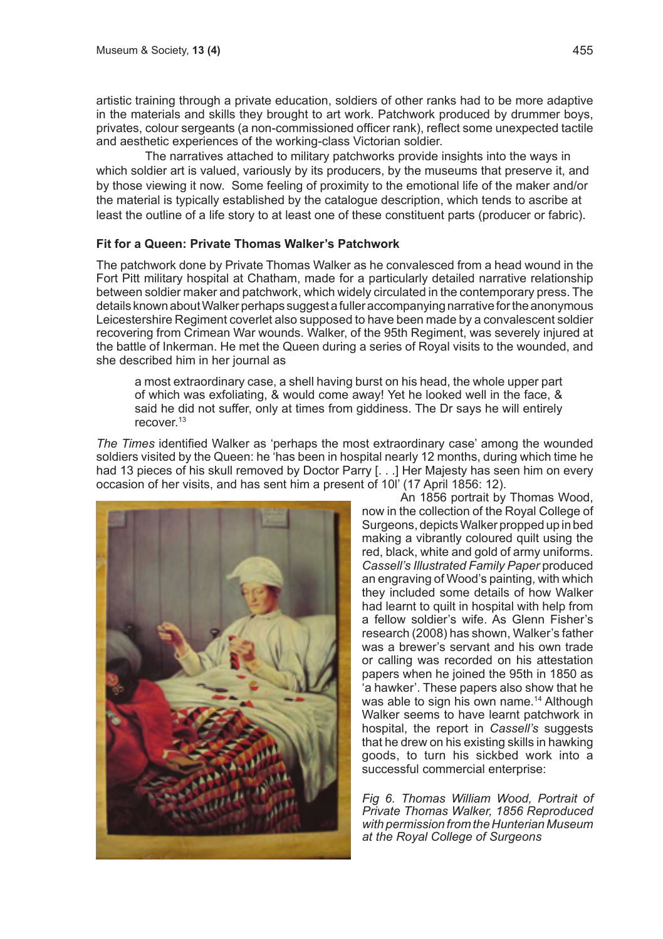artistic training through a private education, soldiers of other ranks had to be more adaptive in the materials and skills they brought to art work. Patchwork produced by drummer boys, privates, colour sergeants (a non-commissioned officer rank), reflect some unexpected tactile and aesthetic experiences of the working-class Victorian soldier.

The narratives attached to military patchworks provide insights into the ways in which soldier art is valued, variously by its producers, by the museums that preserve it, and by those viewing it now. Some feeling of proximity to the emotional life of the maker and/or the material is typically established by the catalogue description, which tends to ascribe at least the outline of a life story to at least one of these constituent parts (producer or fabric).

#### **Fit for a Queen: Private Thomas Walker's Patchwork**

The patchwork done by Private Thomas Walker as he convalesced from a head wound in the Fort Pitt military hospital at Chatham, made for a particularly detailed narrative relationship between soldier maker and patchwork, which widely circulated in the contemporary press. The details known about Walker perhaps suggest a fuller accompanying narrative for the anonymous Leicestershire Regiment coverlet also supposed to have been made by a convalescent soldier recovering from Crimean War wounds. Walker, of the 95th Regiment, was severely injured at the battle of Inkerman. He met the Queen during a series of Royal visits to the wounded, and she described him in her journal as

a most extraordinary case, a shell having burst on his head, the whole upper part of which was exfoliating, & would come away! Yet he looked well in the face, & said he did not suffer, only at times from giddiness. The Dr says he will entirely recover<sup>13</sup>

*The Times* identified Walker as 'perhaps the most extraordinary case' among the wounded soldiers visited by the Queen: he 'has been in hospital nearly 12 months, during which time he had 13 pieces of his skull removed by Doctor Parry [. . .] Her Majesty has seen him on every occasion of her visits, and has sent him a present of 10l' (17 April 1856: 12).



An 1856 portrait by Thomas Wood, now in the collection of the Royal College of Surgeons, depicts Walker propped up in bed making a vibrantly coloured quilt using the red, black, white and gold of army uniforms. *Cassell's Illustrated Family Paper* produced an engraving of Wood's painting, with which they included some details of how Walker had learnt to quilt in hospital with help from a fellow soldier's wife. As Glenn Fisher's research (2008) has shown, Walker's father was a brewer's servant and his own trade or calling was recorded on his attestation papers when he joined the 95th in 1850 as 'a hawker'. These papers also show that he was able to sign his own name.<sup>14</sup> Although Walker seems to have learnt patchwork in hospital, the report in *Cassell's* suggests that he drew on his existing skills in hawking goods, to turn his sickbed work into a successful commercial enterprise:

*Fig 6. Thomas William Wood, Portrait of Private Thomas Walker, 1856 Reproduced with permission from the Hunterian Museum at the Royal College of Surgeons*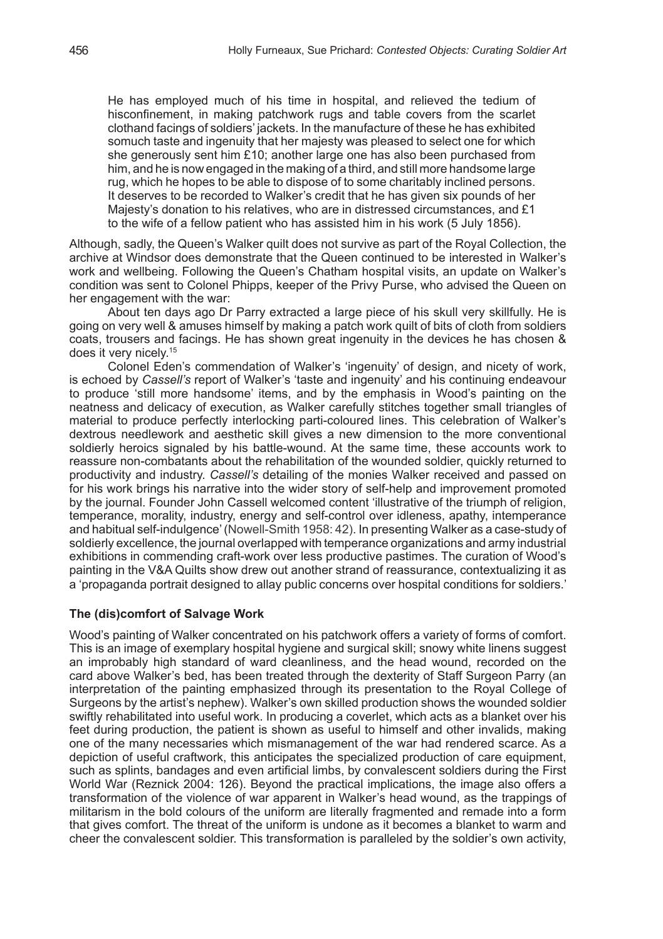He has employed much of his time in hospital, and relieved the tedium of hisconfinement, in making patchwork rugs and table covers from the scarlet clothand facings of soldiers' jackets. In the manufacture of these he has exhibited somuch taste and ingenuity that her majesty was pleased to select one for which she generously sent him £10; another large one has also been purchased from him, and he is now engaged in the making of a third, and still more handsome large rug, which he hopes to be able to dispose of to some charitably inclined persons. It deserves to be recorded to Walker's credit that he has given six pounds of her Majesty's donation to his relatives, who are in distressed circumstances, and £1 to the wife of a fellow patient who has assisted him in his work (5 July 1856).

Although, sadly, the Queen's Walker quilt does not survive as part of the Royal Collection, the archive at Windsor does demonstrate that the Queen continued to be interested in Walker's work and wellbeing. Following the Queen's Chatham hospital visits, an update on Walker's condition was sent to Colonel Phipps, keeper of the Privy Purse, who advised the Queen on her engagement with the war:

About ten days ago Dr Parry extracted a large piece of his skull very skillfully. He is going on very well & amuses himself by making a patch work quilt of bits of cloth from soldiers coats, trousers and facings. He has shown great ingenuity in the devices he has chosen & does it very nicely.15

Colonel Eden's commendation of Walker's 'ingenuity' of design, and nicety of work, is echoed by *Cassell's* report of Walker's 'taste and ingenuity' and his continuing endeavour to produce 'still more handsome' items, and by the emphasis in Wood's painting on the neatness and delicacy of execution, as Walker carefully stitches together small triangles of material to produce perfectly interlocking parti-coloured lines. This celebration of Walker's dextrous needlework and aesthetic skill gives a new dimension to the more conventional soldierly heroics signaled by his battle-wound. At the same time, these accounts work to reassure non-combatants about the rehabilitation of the wounded soldier, quickly returned to productivity and industry. *Cassell's* detailing of the monies Walker received and passed on for his work brings his narrative into the wider story of self-help and improvement promoted by the journal. Founder John Cassell welcomed content 'illustrative of the triumph of religion, temperance, morality, industry, energy and self-control over idleness, apathy, intemperance and habitual self-indulgence' (Nowell-Smith 1958: 42). In presenting Walker as a case-study of soldierly excellence, the journal overlapped with temperance organizations and army industrial exhibitions in commending craft-work over less productive pastimes. The curation of Wood's painting in the V&A Quilts show drew out another strand of reassurance, contextualizing it as a 'propaganda portrait designed to allay public concerns over hospital conditions for soldiers.'

# **The (dis)comfort of Salvage Work**

Wood's painting of Walker concentrated on his patchwork offers a variety of forms of comfort. This is an image of exemplary hospital hygiene and surgical skill; snowy white linens suggest an improbably high standard of ward cleanliness, and the head wound, recorded on the card above Walker's bed, has been treated through the dexterity of Staff Surgeon Parry (an interpretation of the painting emphasized through its presentation to the Royal College of Surgeons by the artist's nephew). Walker's own skilled production shows the wounded soldier swiftly rehabilitated into useful work. In producing a coverlet, which acts as a blanket over his feet during production, the patient is shown as useful to himself and other invalids, making one of the many necessaries which mismanagement of the war had rendered scarce. As a depiction of useful craftwork, this anticipates the specialized production of care equipment, such as splints, bandages and even artificial limbs, by convalescent soldiers during the First World War (Reznick 2004: 126). Beyond the practical implications, the image also offers a transformation of the violence of war apparent in Walker's head wound, as the trappings of militarism in the bold colours of the uniform are literally fragmented and remade into a form that gives comfort. The threat of the uniform is undone as it becomes a blanket to warm and cheer the convalescent soldier. This transformation is paralleled by the soldier's own activity,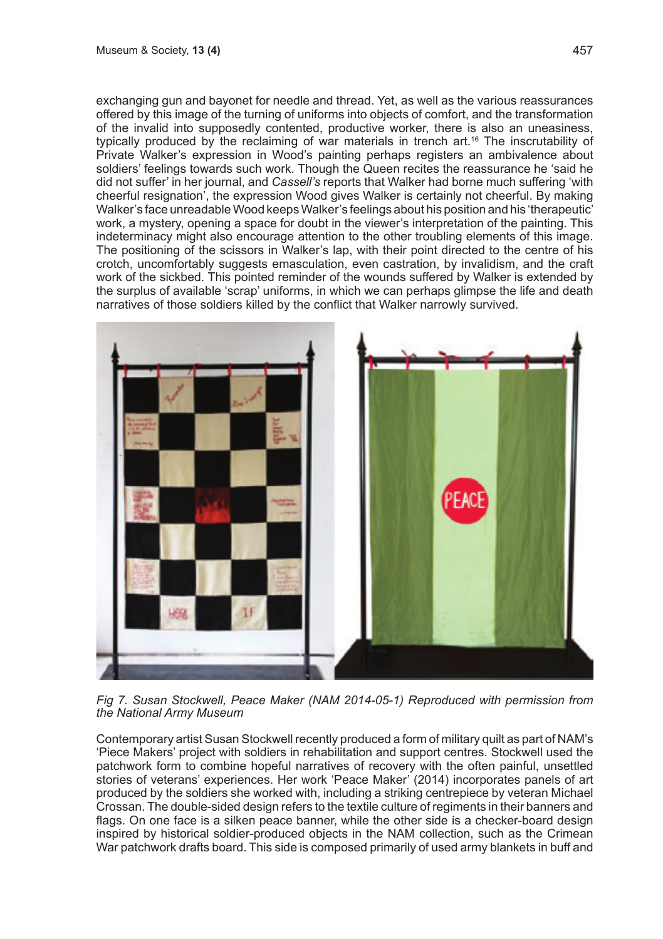exchanging gun and bayonet for needle and thread. Yet, as well as the various reassurances offered by this image of the turning of uniforms into objects of comfort, and the transformation of the invalid into supposedly contented, productive worker, there is also an uneasiness, typically produced by the reclaiming of war materials in trench art.<sup>16</sup> The inscrutability of Private Walker's expression in Wood's painting perhaps registers an ambivalence about soldiers' feelings towards such work. Though the Queen recites the reassurance he 'said he did not suffer' in her journal, and *Cassell's* reports that Walker had borne much suffering 'with cheerful resignation', the expression Wood gives Walker is certainly not cheerful. By making Walker's face unreadable Wood keeps Walker's feelings about his position and his 'therapeutic' work, a mystery, opening a space for doubt in the viewer's interpretation of the painting. This indeterminacy might also encourage attention to the other troubling elements of this image. The positioning of the scissors in Walker's lap, with their point directed to the centre of his crotch, uncomfortably suggests emasculation, even castration, by invalidism, and the craft work of the sickbed. This pointed reminder of the wounds suffered by Walker is extended by the surplus of available 'scrap' uniforms, in which we can perhaps glimpse the life and death narratives of those soldiers killed by the conflict that Walker narrowly survived.



*Fig 7. Susan Stockwell, Peace Maker (NAM 2014-05-1) Reproduced with permission from the National Army Museum*

Contemporary artist Susan Stockwell recently produced a form of military quilt as part of NAM's 'Piece Makers' project with soldiers in rehabilitation and support centres. Stockwell used the patchwork form to combine hopeful narratives of recovery with the often painful, unsettled stories of veterans' experiences. Her work 'Peace Maker' (2014) incorporates panels of art produced by the soldiers she worked with, including a striking centrepiece by veteran Michael Crossan. The double-sided design refers to the textile culture of regiments in their banners and flags. On one face is a silken peace banner, while the other side is a checker-board design inspired by historical soldier-produced objects in the NAM collection, such as the Crimean War patchwork drafts board. This side is composed primarily of used army blankets in buff and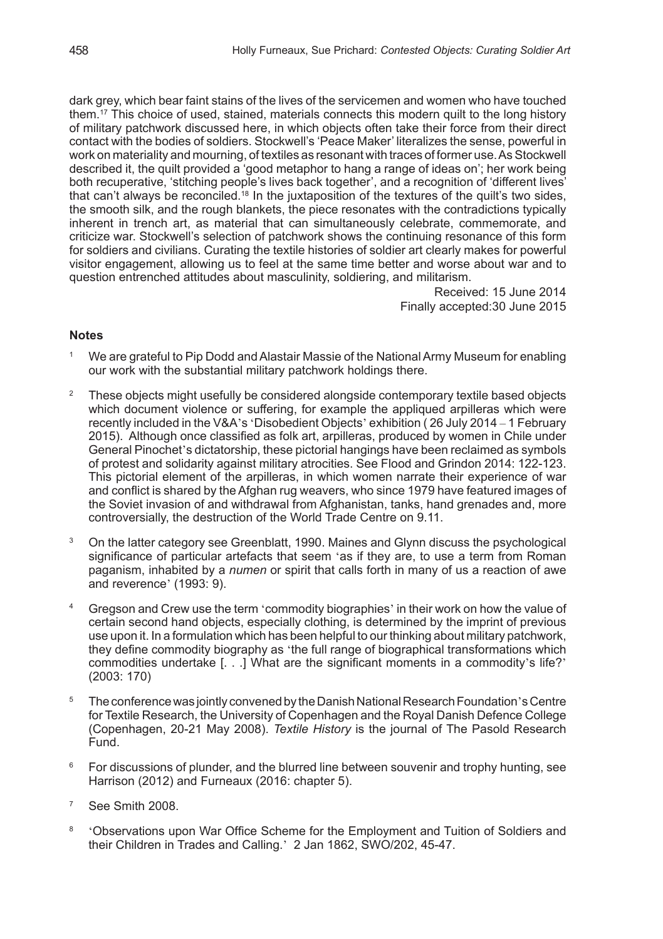dark grey, which bear faint stains of the lives of the servicemen and women who have touched them.17 This choice of used, stained, materials connects this modern quilt to the long history of military patchwork discussed here, in which objects often take their force from their direct contact with the bodies of soldiers. Stockwell's 'Peace Maker' literalizes the sense, powerful in work on materiality and mourning, of textiles as resonant with traces of former use. As Stockwell described it, the quilt provided a 'good metaphor to hang a range of ideas on'; her work being both recuperative, 'stitching people's lives back together', and a recognition of 'different lives' that can't always be reconciled.<sup>18</sup> In the juxtaposition of the textures of the quilt's two sides, the smooth silk, and the rough blankets, the piece resonates with the contradictions typically inherent in trench art, as material that can simultaneously celebrate, commemorate, and criticize war. Stockwell's selection of patchwork shows the continuing resonance of this form for soldiers and civilians. Curating the textile histories of soldier art clearly makes for powerful visitor engagement, allowing us to feel at the same time better and worse about war and to question entrenched attitudes about masculinity, soldiering, and militarism.

Received: 15 June 2014 Finally accepted:30 June 2015

#### **Notes**

- <sup>1</sup> We are grateful to Pip Dodd and Alastair Massie of the National Army Museum for enabling our work with the substantial military patchwork holdings there.
- <sup>2</sup> These objects might usefully be considered alongside contemporary textile based objects which document violence or suffering, for example the appliqued arpilleras which were recently included in the V&A's 'Disobedient Objects' exhibition ( 26 July 2014 – 1 February 2015). Although once classified as folk art, arpilleras, produced by women in Chile under General Pinochet's dictatorship, these pictorial hangings have been reclaimed as symbols of protest and solidarity against military atrocities. See Flood and Grindon 2014: 122-123. This pictorial element of the arpilleras, in which women narrate their experience of war and conflict is shared by the Afghan rug weavers, who since 1979 have featured images of the Soviet invasion of and withdrawal from Afghanistan, tanks, hand grenades and, more controversially, the destruction of the World Trade Centre on 9.11.
- <sup>3</sup> On the latter category see Greenblatt, 1990. Maines and Glynn discuss the psychological significance of particular artefacts that seem 'as if they are, to use a term from Roman paganism, inhabited by a *numen* or spirit that calls forth in many of us a reaction of awe and reverence' (1993: 9).
- <sup>4</sup> Gregson and Crew use the term 'commodity biographies' in their work on how the value of certain second hand objects, especially clothing, is determined by the imprint of previous use upon it. In a formulation which has been helpful to our thinking about military patchwork, they define commodity biography as 'the full range of biographical transformations which commodities undertake [. . .] What are the significant moments in a commodity's life?' (2003: 170)
- <sup>5</sup> The conference was jointly convened by the Danish National Research Foundation's Centre for Textile Research, the University of Copenhagen and the Royal Danish Defence College (Copenhagen, 20-21 May 2008). *Textile History* is the journal of The Pasold Research Fund.
- <sup>6</sup> For discussions of plunder, and the blurred line between souvenir and trophy hunting, see Harrison (2012) and Furneaux (2016: chapter 5).
- <sup>7</sup> See Smith 2008.
- 8 'Observations upon War Office Scheme for the Employment and Tuition of Soldiers and their Children in Trades and Calling.' 2 Jan 1862, SWO/202, 45-47.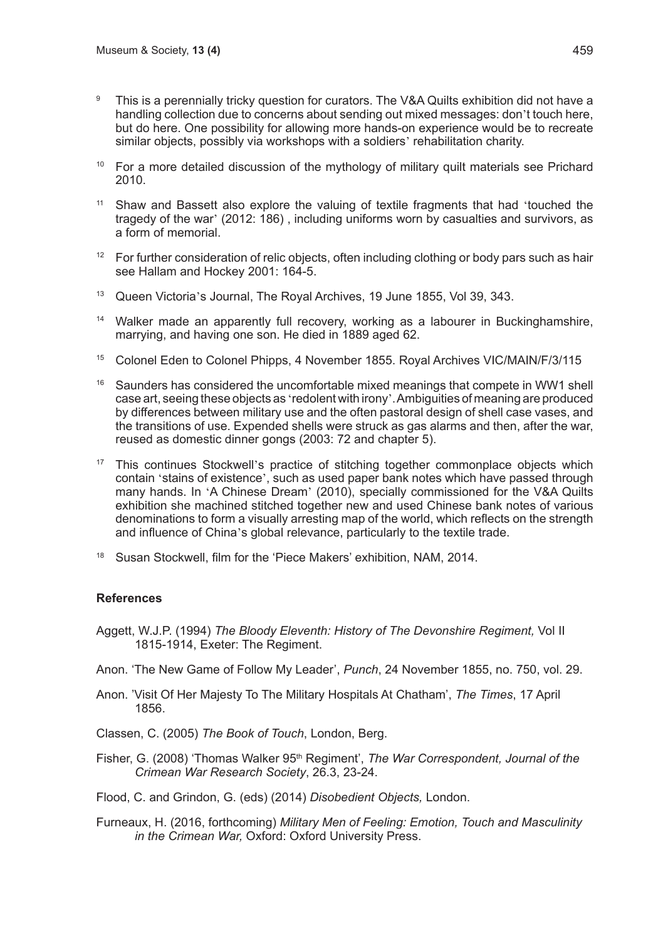- <sup>9</sup> This is a perennially tricky question for curators. The V&A Quilts exhibition did not have a handling collection due to concerns about sending out mixed messages: don't touch here, but do here. One possibility for allowing more hands-on experience would be to recreate similar objects, possibly via workshops with a soldiers' rehabilitation charity.
- <sup>10</sup> For a more detailed discussion of the mythology of military quilt materials see Prichard 2010.
- <sup>11</sup> Shaw and Bassett also explore the valuing of textile fragments that had 'touched the tragedy of the war' (2012: 186) , including uniforms worn by casualties and survivors, as a form of memorial.
- $12$  For further consideration of relic objects, often including clothing or body pars such as hair see Hallam and Hockey 2001: 164-5.
- <sup>13</sup> Queen Victoria's Journal, The Roval Archives, 19 June 1855, Vol 39, 343.
- <sup>14</sup> Walker made an apparently full recovery, working as a labourer in Buckinghamshire, marrying, and having one son. He died in 1889 aged 62.
- <sup>15</sup> Colonel Eden to Colonel Phipps, 4 November 1855. Royal Archives VIC/MAIN/F/3/115
- <sup>16</sup> Saunders has considered the uncomfortable mixed meanings that compete in WW1 shell case art, seeing these objects as 'redolent with irony'. Ambiguities of meaning are produced by differences between military use and the often pastoral design of shell case vases, and the transitions of use. Expended shells were struck as gas alarms and then, after the war, reused as domestic dinner gongs (2003: 72 and chapter 5).
- <sup>17</sup> This continues Stockwell's practice of stitching together commonplace objects which contain 'stains of existence', such as used paper bank notes which have passed through many hands. In 'A Chinese Dream' (2010), specially commissioned for the V&A Quilts exhibition she machined stitched together new and used Chinese bank notes of various denominations to form a visually arresting map of the world, which reflects on the strength and influence of China's global relevance, particularly to the textile trade.
- <sup>18</sup> Susan Stockwell, film for the 'Piece Makers' exhibition, NAM, 2014.

# **References**

- Aggett, W.J.P. (1994) *The Bloody Eleventh: History of The Devonshire Regiment,* Vol II 1815-1914, Exeter: The Regiment.
- Anon. 'The New Game of Follow My Leader', *Punch*, 24 November 1855, no. 750, vol. 29.
- Anon. 'Visit Of Her Majesty To The Military Hospitals At Chatham', *The Times*, 17 April 1856.
- Classen, C. (2005) *The Book of Touch*, London, Berg.
- Fisher, G. (2008) 'Thomas Walker 95<sup>th</sup> Regiment', *The War Correspondent, Journal of the Crimean War Research Society*, 26.3, 23-24.

Flood, C. and Grindon, G. (eds) (2014) *Disobedient Objects,* London.

Furneaux, H. (2016, forthcoming) *Military Men of Feeling: Emotion, Touch and Masculinity in the Crimean War,* Oxford: Oxford University Press.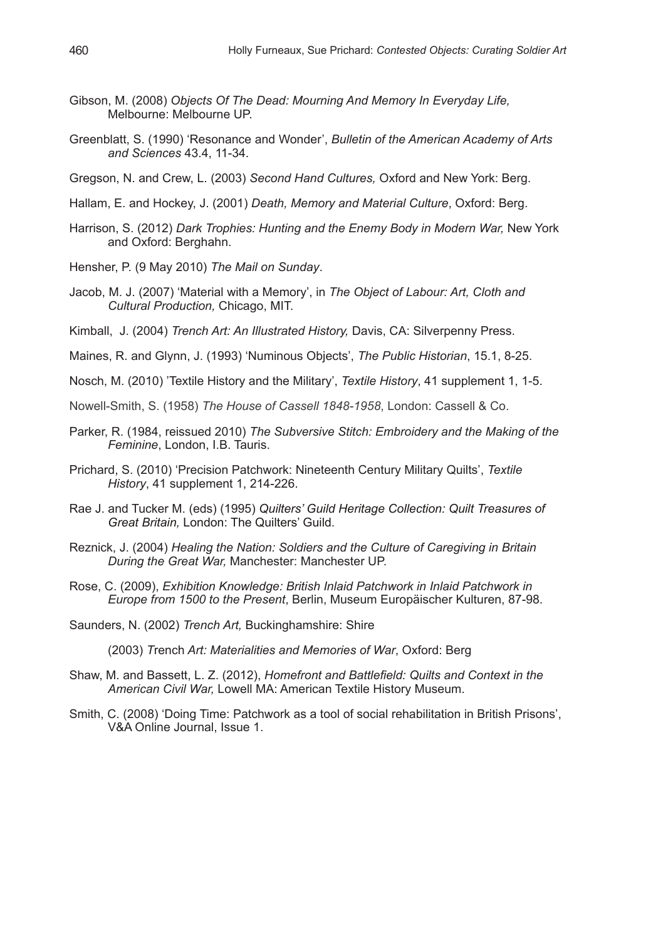- Gibson, M. (2008) *Objects Of The Dead: Mourning And Memory In Everyday Life,*  Melbourne: Melbourne UP.
- Greenblatt, S. (1990) 'Resonance and Wonder', *Bulletin of the American Academy of Arts and Sciences* 43.4, 11-34.

Gregson, N. and Crew, L. (2003) *Second Hand Cultures,* Oxford and New York: Berg.

- Hallam, E. and Hockey, J. (2001) *Death, Memory and Material Culture*, Oxford: Berg.
- Harrison, S. (2012) *Dark Trophies: Hunting and the Enemy Body in Modern War*, New York and Oxford: Berghahn.
- Hensher, P. (9 May 2010) *The Mail on Sunday*.
- Jacob, M. J. (2007) 'Material with a Memory', in *The Object of Labour: Art, Cloth and Cultural Production,* Chicago, MIT.
- Kimball, J. (2004) *Trench Art: An Illustrated History,* Davis, CA: Silverpenny Press.
- Maines, R. and Glynn, J. (1993) 'Numinous Objects', *The Public Historian*, 15.1, 8-25.
- Nosch, M. (2010) 'Textile History and the Military', *Textile History*, 41 supplement 1, 1-5.
- Nowell-Smith, S. (1958) *The House of Cassell 1848-1958*, London: Cassell & Co.
- Parker, R. (1984, reissued 2010) *The Subversive Stitch: Embroidery and the Making of the Feminine*, London, I.B. Tauris.
- Prichard, S. (2010) 'Precision Patchwork: Nineteenth Century Military Quilts', *Textile History*, 41 supplement 1, 214-226.
- Rae J. and Tucker M. (eds) (1995) *Quilters' Guild Heritage Collection: Quilt Treasures of Great Britain,* London: The Quilters' Guild.
- Reznick, J. (2004) *Healing the Nation: Soldiers and the Culture of Caregiving in Britain During the Great War,* Manchester: Manchester UP.
- Rose, C. (2009), *Exhibition Knowledge: British Inlaid Patchwork in Inlaid Patchwork in Europe from 1500 to the Present*, Berlin, Museum Europäischer Kulturen, 87-98.
- Saunders, N. (2002) *Trench Art,* Buckinghamshire: Shire

(2003) *T*rench *Art: Materialities and Memories of War*, Oxford: Berg

- Shaw, M. and Bassett, L. Z. (2012), *Homefront and Battlefield: Quilts and Context in the American Civil War,* Lowell MA: American Textile History Museum.
- Smith, C. (2008) 'Doing Time: Patchwork as a tool of social rehabilitation in British Prisons', V&A Online Journal, Issue 1.